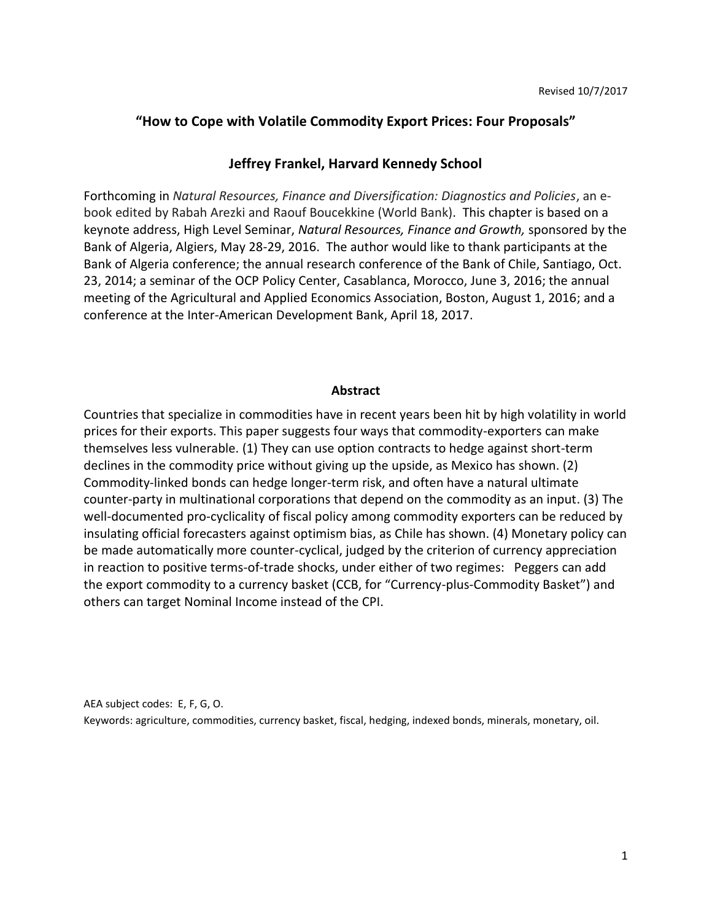## **"How to Cope with Volatile Commodity Export Prices: Four Proposals"**

## **Jeffrey Frankel, Harvard Kennedy School**

Forthcoming in *Natural Resources, Finance and Diversification: Diagnostics and Policies*, an ebook edited by Rabah Arezki and Raouf Boucekkine (World Bank). This chapter is based on a keynote address, High Level Seminar, *Natural Resources, Finance and Growth,* sponsored by the Bank of Algeria, Algiers, May 28-29, 2016. The author would like to thank participants at the Bank of Algeria conference; the annual research conference of the Bank of Chile, Santiago, Oct. 23, 2014; a seminar of the OCP Policy Center, Casablanca, Morocco, June 3, 2016; the annual meeting of the Agricultural and Applied Economics Association, Boston, August 1, 2016; and a conference at the Inter-American Development Bank, April 18, 2017.

### **Abstract**

Countries that specialize in commodities have in recent years been hit by high volatility in world prices for their exports. This paper suggests four ways that commodity-exporters can make themselves less vulnerable. (1) They can use option contracts to hedge against short-term declines in the commodity price without giving up the upside, as Mexico has shown. (2) Commodity-linked bonds can hedge longer-term risk, and often have a natural ultimate counter-party in multinational corporations that depend on the commodity as an input. (3) The well-documented pro-cyclicality of fiscal policy among commodity exporters can be reduced by insulating official forecasters against optimism bias, as Chile has shown. (4) Monetary policy can be made automatically more counter-cyclical, judged by the criterion of currency appreciation in reaction to positive terms-of-trade shocks, under either of two regimes: Peggers can add the export commodity to a currency basket (CCB, for "Currency-plus-Commodity Basket") and others can target Nominal Income instead of the CPI.

AEA subject codes: E, F, G, O. Keywords: agriculture, commodities, currency basket, fiscal, hedging, indexed bonds, minerals, monetary, oil.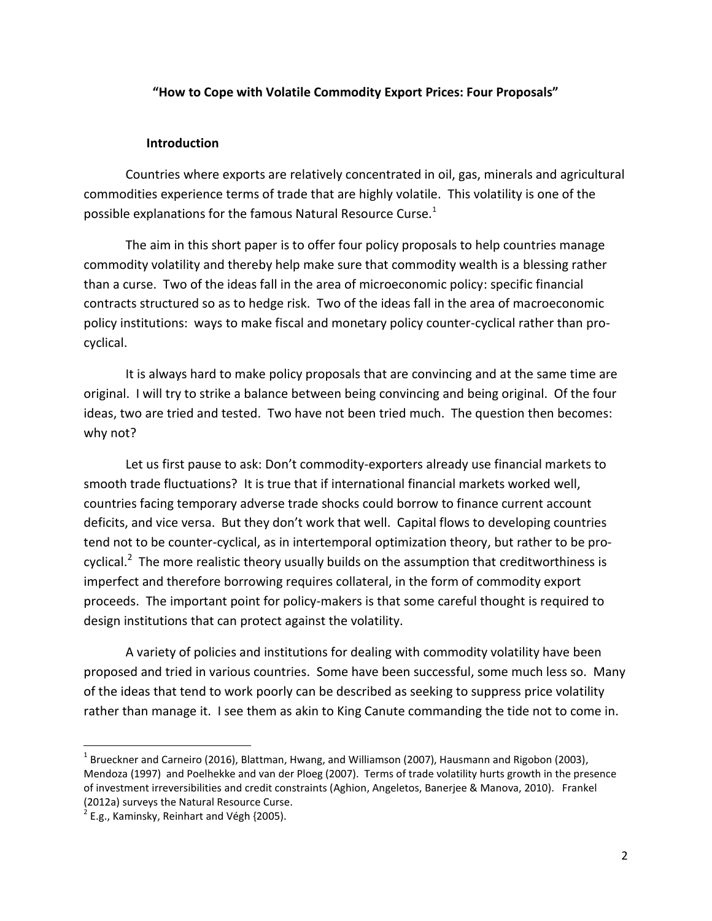### **"How to Cope with Volatile Commodity Export Prices: Four Proposals"**

### **Introduction**

Countries where exports are relatively concentrated in oil, gas, minerals and agricultural commodities experience terms of trade that are highly volatile. This volatility is one of the possible explanations for the famous Natural Resource Curse.<sup>1</sup>

The aim in this short paper is to offer four policy proposals to help countries manage commodity volatility and thereby help make sure that commodity wealth is a blessing rather than a curse. Two of the ideas fall in the area of microeconomic policy: specific financial contracts structured so as to hedge risk. Two of the ideas fall in the area of macroeconomic policy institutions: ways to make fiscal and monetary policy counter-cyclical rather than procyclical.

It is always hard to make policy proposals that are convincing and at the same time are original. I will try to strike a balance between being convincing and being original. Of the four ideas, two are tried and tested. Two have not been tried much. The question then becomes: why not?

Let us first pause to ask: Don't commodity-exporters already use financial markets to smooth trade fluctuations? It is true that if international financial markets worked well, countries facing temporary adverse trade shocks could borrow to finance current account deficits, and vice versa. But they don't work that well. Capital flows to developing countries tend not to be counter-cyclical, as in intertemporal optimization theory, but rather to be procyclical.<sup>2</sup> The more realistic theory usually builds on the assumption that creditworthiness is imperfect and therefore borrowing requires collateral, in the form of commodity export proceeds. The important point for policy-makers is that some careful thought is required to design institutions that can protect against the volatility.

A variety of policies and institutions for dealing with commodity volatility have been proposed and tried in various countries. Some have been successful, some much less so. Many of the ideas that tend to work poorly can be described as seeking to suppress price volatility rather than manage it. I see them as akin to King Canute commanding the tide not to come in.

 $^{\text{1}}$  Brueckner and Carneiro (2016), Blattman, Hwang, and Williamson (2007), Hausmann and Rigobon (2003), Mendoza (1997) and Poelhekke and van der Ploeg (2007). Terms of trade volatility hurts growth in the presence of investment irreversibilities and credit constraints (Aghion, Angeletos, Banerjee & Manova, 2010). Frankel (2012a) surveys the Natural Resource Curse.

 $2$  E.g., Kaminsky, Reinhart and Végh {2005).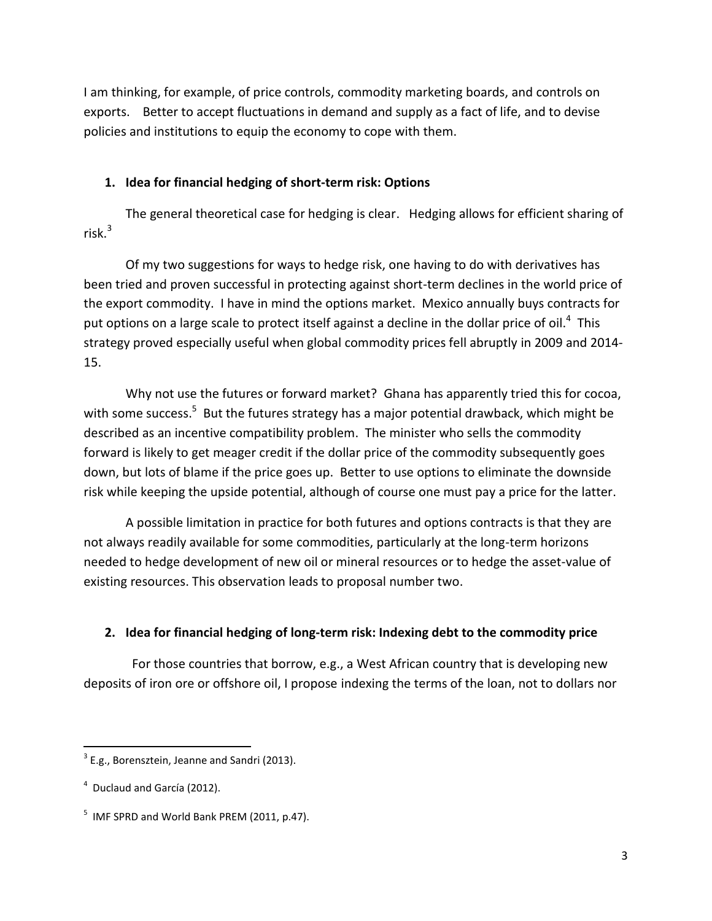I am thinking, for example, of price controls, commodity marketing boards, and controls on exports. Better to accept fluctuations in demand and supply as a fact of life, and to devise policies and institutions to equip the economy to cope with them.

# **1. Idea for financial hedging of short-term risk: Options**

The general theoretical case for hedging is clear. Hedging allows for efficient sharing of risk. $3$ 

Of my two suggestions for ways to hedge risk, one having to do with derivatives has been tried and proven successful in protecting against short-term declines in the world price of the export commodity. I have in mind the options market. Mexico annually buys contracts for put options on a large scale to protect itself against a decline in the dollar price of oil.<sup>4</sup> This strategy proved especially useful when global commodity prices fell abruptly in 2009 and 2014- 15.

Why not use the futures or forward market? Ghana has apparently tried this for cocoa, with some success.<sup>5</sup> But the futures strategy has a major potential drawback, which might be described as an incentive compatibility problem. The minister who sells the commodity forward is likely to get meager credit if the dollar price of the commodity subsequently goes down, but lots of blame if the price goes up. Better to use options to eliminate the downside risk while keeping the upside potential, although of course one must pay a price for the latter.

A possible limitation in practice for both futures and options contracts is that they are not always readily available for some commodities, particularly at the long-term horizons needed to hedge development of new oil or mineral resources or to hedge the asset-value of existing resources. This observation leads to proposal number two.

# **2. Idea for financial hedging of long-term risk: Indexing debt to the commodity price**

 For those countries that borrow, e.g., a West African country that is developing new deposits of iron ore or offshore oil, I propose indexing the terms of the loan, not to dollars nor

 $3$  E.g., Borensztein, Jeanne and Sandri (2013).

<sup>&</sup>lt;sup>4</sup> Duclaud and García (2012).

 $<sup>5</sup>$  IMF SPRD and World Bank PREM (2011, p.47).</sup>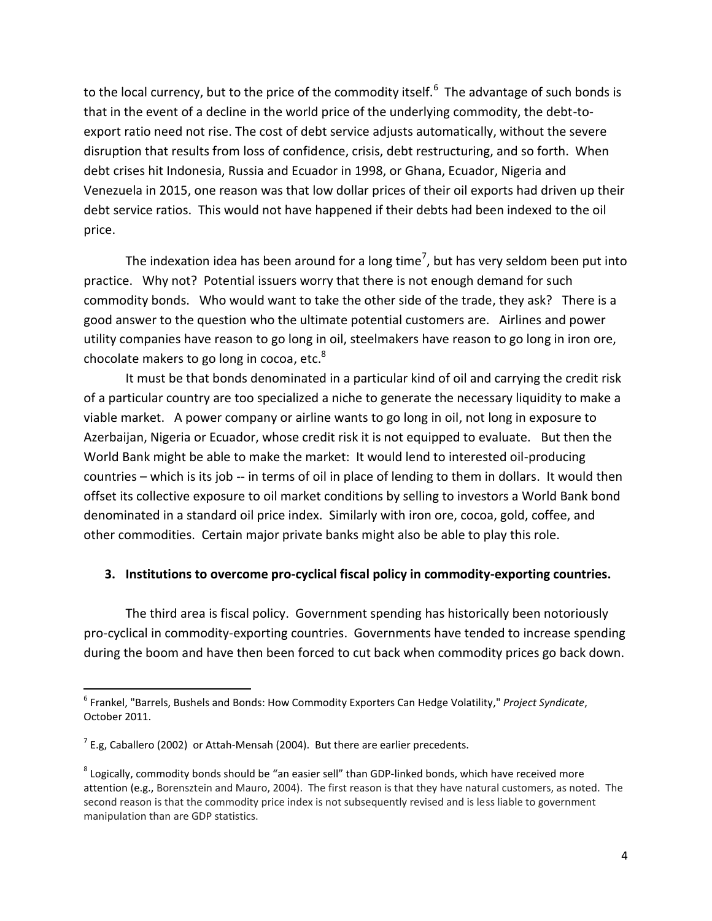to the local currency, but to the price of the commodity itself.<sup>6</sup> The advantage of such bonds is that in the event of a decline in the world price of the underlying commodity, the debt-toexport ratio need not rise. The cost of debt service adjusts automatically, without the severe disruption that results from loss of confidence, crisis, debt restructuring, and so forth. When debt crises hit Indonesia, Russia and Ecuador in 1998, or Ghana, Ecuador, Nigeria and Venezuela in 2015, one reason was that low dollar prices of their oil exports had driven up their debt service ratios. This would not have happened if their debts had been indexed to the oil price.

The indexation idea has been around for a long time<sup>7</sup>, but has very seldom been put into practice. Why not? Potential issuers worry that there is not enough demand for such commodity bonds. Who would want to take the other side of the trade, they ask? There is a good answer to the question who the ultimate potential customers are. Airlines and power utility companies have reason to go long in oil, steelmakers have reason to go long in iron ore, chocolate makers to go long in cocoa, etc. $^8$ 

It must be that bonds denominated in a particular kind of oil and carrying the credit risk of a particular country are too specialized a niche to generate the necessary liquidity to make a viable market. A power company or airline wants to go long in oil, not long in exposure to Azerbaijan, Nigeria or Ecuador, whose credit risk it is not equipped to evaluate. But then the World Bank might be able to make the market: It would lend to interested oil-producing countries – which is its job -- in terms of oil in place of lending to them in dollars. It would then offset its collective exposure to oil market conditions by selling to investors a World Bank bond denominated in a standard oil price index. Similarly with iron ore, cocoa, gold, coffee, and other commodities. Certain major private banks might also be able to play this role.

## **3. Institutions to overcome pro-cyclical fiscal policy in commodity-exporting countries.**

The third area is fiscal policy. Government spending has historically been notoriously pro-cyclical in commodity-exporting countries. Governments have tended to increase spending during the boom and have then been forced to cut back when commodity prices go back down.

 $\overline{\phantom{a}}$ 

<sup>6</sup> Frankel, "Barrels, Bushels and Bonds: How Commodity Exporters Can Hedge Volatility," *Project Syndicate*, October 2011.

 $^{7}$  E.g, Caballero (2002) or Attah-Mensah (2004). But there are earlier precedents.

 $^8$  Logically, commodity bonds should be "an easier sell" than GDP-linked bonds, which have received more attention (e.g., Borensztein and Mauro, 2004). The first reason is that they have natural customers, as noted. The second reason is that the commodity price index is not subsequently revised and is less liable to government manipulation than are GDP statistics.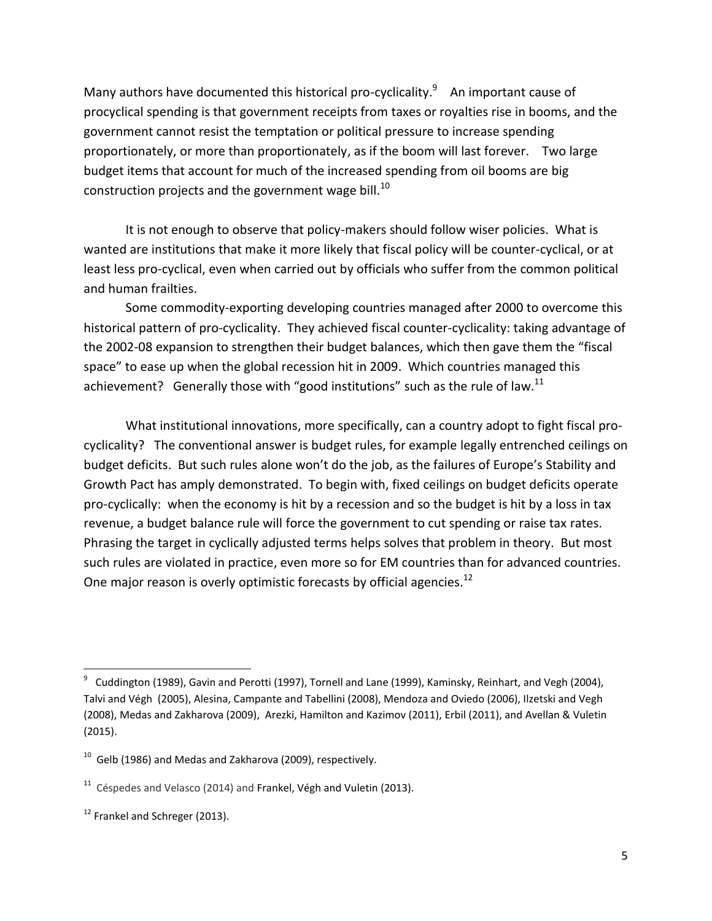Many authors have documented this historical pro-cyclicality.<sup>9</sup> An important cause of procyclical spending is that government receipts from taxes or royalties rise in booms, and the government cannot resist the temptation or political pressure to increase spending proportionately, or more than proportionately, as if the boom will last forever. Two large budget items that account for much of the increased spending from oil booms are big construction projects and the government wage bill.<sup>10</sup>

It is not enough to observe that policy-makers should follow wiser policies. What is wanted are institutions that make it more likely that fiscal policy will be counter-cyclical, or at least less pro-cyclical, even when carried out by officials who suffer from the common political and human frailties.

Some commodity-exporting developing countries managed after 2000 to overcome this historical pattern of pro-cyclicality. They achieved fiscal counter-cyclicality: taking advantage of the 2002-08 expansion to strengthen their budget balances, which then gave them the "fiscal space" to ease up when the global recession hit in 2009. Which countries managed this achievement? Generally those with "good institutions" such as the rule of law. $^{11}$ 

What institutional innovations, more specifically, can a country adopt to fight fiscal procyclicality? The conventional answer is budget rules, for example legally entrenched ceilings on budget deficits. But such rules alone won't do the job, as the failures of Europe's Stability and Growth Pact has amply demonstrated. To begin with, fixed ceilings on budget deficits operate pro-cyclically: when the economy is hit by a recession and so the budget is hit by a loss in tax revenue, a budget balance rule will force the government to cut spending or raise tax rates. Phrasing the target in cyclically adjusted terms helps solves that problem in theory. But most such rules are violated in practice, even more so for EM countries than for advanced countries. One major reason is overly optimistic forecasts by official agencies.<sup>12</sup>

l

<sup>9</sup> Cuddington (1989), Gavin and Perotti (1997), Tornell and Lane (1999), Kaminsky, Reinhart, and Vegh (2004), Talvi and Végh (2005), Alesina, Campante and Tabellini (2008), Mendoza and Oviedo (2006), Ilzetski and Vegh (2008), Medas and Zakharova (2009), Arezki, Hamilton and Kazimov (2011), Erbil (2011), and Avellan & Vuletin (2015).

 $^{10}$  Gelb (1986) and Medas and Zakharova (2009), respectively.

 $11$  Céspedes and Velasco (2014) and Frankel, Végh and Vuletin (2013).

 $12$  Frankel and Schreger (2013).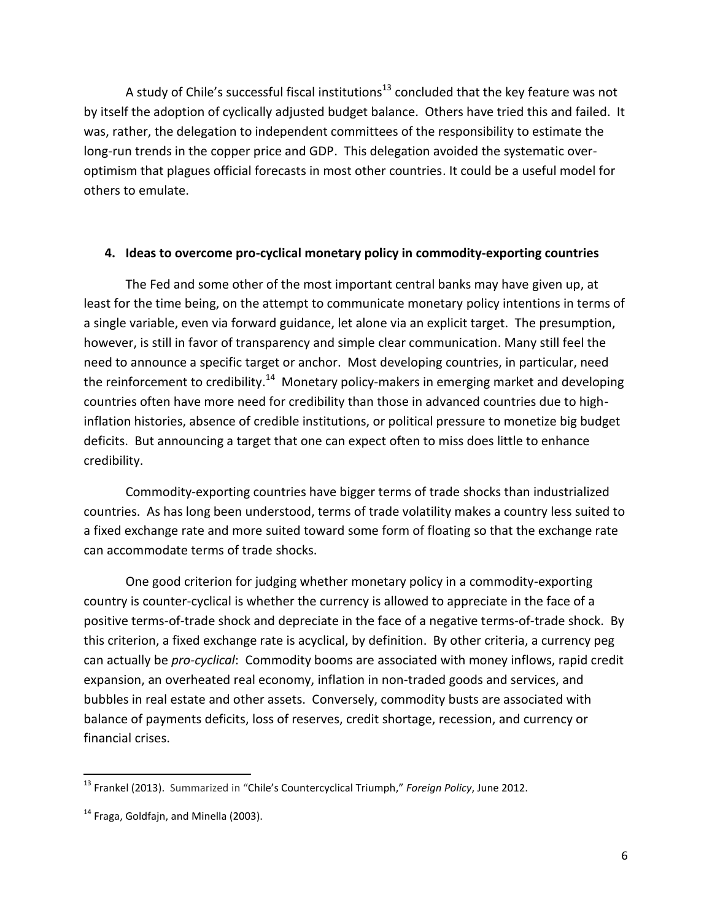A study of Chile's successful fiscal institutions<sup>13</sup> concluded that the key feature was not by itself the adoption of cyclically adjusted budget balance. Others have tried this and failed. It was, rather, the delegation to independent committees of the responsibility to estimate the long-run trends in the copper price and GDP. This delegation avoided the systematic overoptimism that plagues official forecasts in most other countries. It could be a useful model for others to emulate.

### **4. Ideas to overcome pro-cyclical monetary policy in commodity-exporting countries**

The Fed and some other of the most important central banks may have given up, at least for the time being, on the attempt to communicate monetary policy intentions in terms of a single variable, even via forward guidance, let alone via an explicit target. The presumption, however, is still in favor of transparency and simple clear communication. Many still feel the need to announce a specific target or anchor. Most developing countries, in particular, need the reinforcement to credibility.<sup>14</sup> Monetary policy-makers in emerging market and developing countries often have more need for credibility than those in advanced countries due to highinflation histories, absence of credible institutions, or political pressure to monetize big budget deficits. But announcing a target that one can expect often to miss does little to enhance credibility.

Commodity-exporting countries have bigger terms of trade shocks than industrialized countries. As has long been understood, terms of trade volatility makes a country less suited to a fixed exchange rate and more suited toward some form of floating so that the exchange rate can accommodate terms of trade shocks.

One good criterion for judging whether monetary policy in a commodity-exporting country is counter-cyclical is whether the currency is allowed to appreciate in the face of a positive terms-of-trade shock and depreciate in the face of a negative terms-of-trade shock. By this criterion, a fixed exchange rate is acyclical, by definition. By other criteria, a currency peg can actually be *pro-cyclical*: Commodity booms are associated with money inflows, rapid credit expansion, an overheated real economy, inflation in non-traded goods and services, and bubbles in real estate and other assets. Conversely, commodity busts are associated with balance of payments deficits, loss of reserves, credit shortage, recession, and currency or financial crises.

<sup>13</sup> Frankel (2013). Summarized in "Chile's Countercyclical Triumph," *Foreign Policy*, June 2012.

 $14$  Fraga, Goldfajn, and Minella (2003).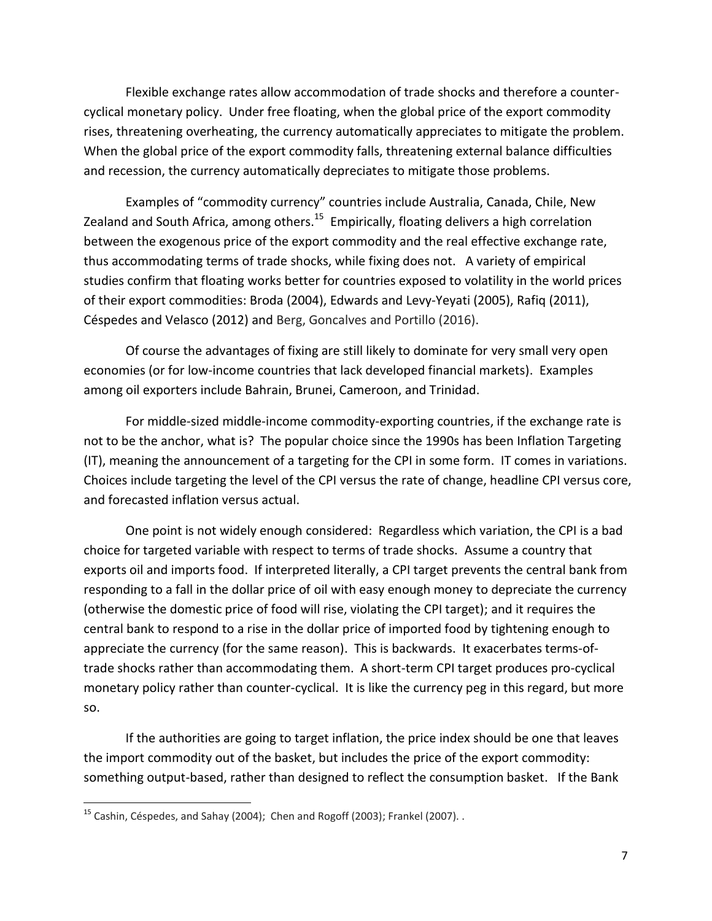Flexible exchange rates allow accommodation of trade shocks and therefore a countercyclical monetary policy. Under free floating, when the global price of the export commodity rises, threatening overheating, the currency automatically appreciates to mitigate the problem. When the global price of the export commodity falls, threatening external balance difficulties and recession, the currency automatically depreciates to mitigate those problems.

Examples of "commodity currency" countries include Australia, Canada, Chile, New Zealand and South Africa, among others.<sup>15</sup> Empirically, floating delivers a high correlation between the exogenous price of the export commodity and the real effective exchange rate, thus accommodating terms of trade shocks, while fixing does not. A variety of empirical studies confirm that floating works better for countries exposed to volatility in the world prices of their export commodities: Broda (2004), Edwards and Levy-Yeyati (2005), Rafiq (2011), Céspedes and Velasco (2012) and Berg, Goncalves and Portillo (2016).

Of course the advantages of fixing are still likely to dominate for very small very open economies (or for low-income countries that lack developed financial markets). Examples among oil exporters include Bahrain, Brunei, Cameroon, and Trinidad.

For middle-sized middle-income commodity-exporting countries, if the exchange rate is not to be the anchor, what is? The popular choice since the 1990s has been Inflation Targeting (IT), meaning the announcement of a targeting for the CPI in some form. IT comes in variations. Choices include targeting the level of the CPI versus the rate of change, headline CPI versus core, and forecasted inflation versus actual.

One point is not widely enough considered: Regardless which variation, the CPI is a bad choice for targeted variable with respect to terms of trade shocks. Assume a country that exports oil and imports food. If interpreted literally, a CPI target prevents the central bank from responding to a fall in the dollar price of oil with easy enough money to depreciate the currency (otherwise the domestic price of food will rise, violating the CPI target); and it requires the central bank to respond to a rise in the dollar price of imported food by tightening enough to appreciate the currency (for the same reason). This is backwards. It exacerbates terms-oftrade shocks rather than accommodating them. A short-term CPI target produces pro-cyclical monetary policy rather than counter-cyclical. It is like the currency peg in this regard, but more so.

If the authorities are going to target inflation, the price index should be one that leaves the import commodity out of the basket, but includes the price of the export commodity: something output-based, rather than designed to reflect the consumption basket. If the Bank

l

<sup>&</sup>lt;sup>15</sup> Cashin, Céspedes, and Sahay (2004); Chen and Rogoff (2003); Frankel (2007).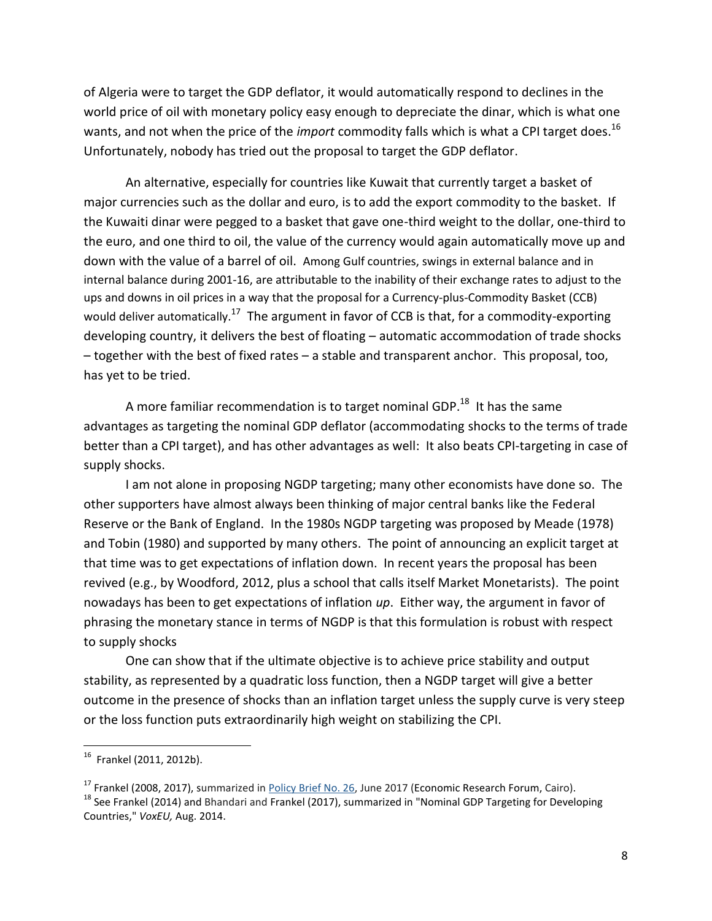of Algeria were to target the GDP deflator, it would automatically respond to declines in the world price of oil with monetary policy easy enough to depreciate the dinar, which is what one wants, and not when the price of the *import* commodity falls which is what a CPI target does. 16 Unfortunately, nobody has tried out the proposal to target the GDP deflator.

An alternative, especially for countries like Kuwait that currently target a basket of major currencies such as the dollar and euro, is to add the export commodity to the basket. If the Kuwaiti dinar were pegged to a basket that gave one-third weight to the dollar, one-third to the euro, and one third to oil, the value of the currency would again automatically move up and down with the value of a barrel of oil. Among Gulf countries, swings in external balance and in internal balance during 2001-16, are attributable to the inability of their exchange rates to adjust to the ups and downs in oil prices in a way that the proposal for a Currency-plus-Commodity Basket (CCB) would deliver automatically.<sup>17</sup> The argument in favor of CCB is that, for a commodity-exporting developing country, it delivers the best of floating – automatic accommodation of trade shocks – together with the best of fixed rates – a stable and transparent anchor. This proposal, too, has yet to be tried.

A more familiar recommendation is to target nominal GDP.<sup>18</sup> It has the same advantages as targeting the nominal GDP deflator (accommodating shocks to the terms of trade better than a CPI target), and has other advantages as well: It also beats CPI-targeting in case of supply shocks.

I am not alone in proposing NGDP targeting; many other economists have done so. The other supporters have almost always been thinking of major central banks like the Federal Reserve or the Bank of England. In the 1980s NGDP targeting was proposed by Meade (1978) and Tobin (1980) and supported by many others. The point of announcing an explicit target at that time was to get expectations of inflation down. In recent years the proposal has been revived (e.g., by Woodford, 2012, plus a school that calls itself Market Monetarists). The point nowadays has been to get expectations of inflation *up*. Either way, the argument in favor of phrasing the monetary stance in terms of NGDP is that this formulation is robust with respect to supply shocks

One can show that if the ultimate objective is to achieve price stability and output stability, as represented by a quadratic loss function, then a NGDP target will give a better outcome in the presence of shocks than an inflation target unless the supply curve is very steep or the loss function puts extraordinarily high weight on stabilizing the CPI.

 $^{16}$  Frankel (2011, 2012b).

<sup>&</sup>lt;sup>17</sup> Frankel (2008, 2017), summarized in *Policy Brief No. 26*, June 2017 (Economic Research Forum, Cairo).

<sup>&</sup>lt;sup>18</sup> See Frankel (2014) and Bhandari and Frankel (2017), summarized in "Nominal GDP Targeting for Developing Countries," *VoxEU,* Aug. 2014.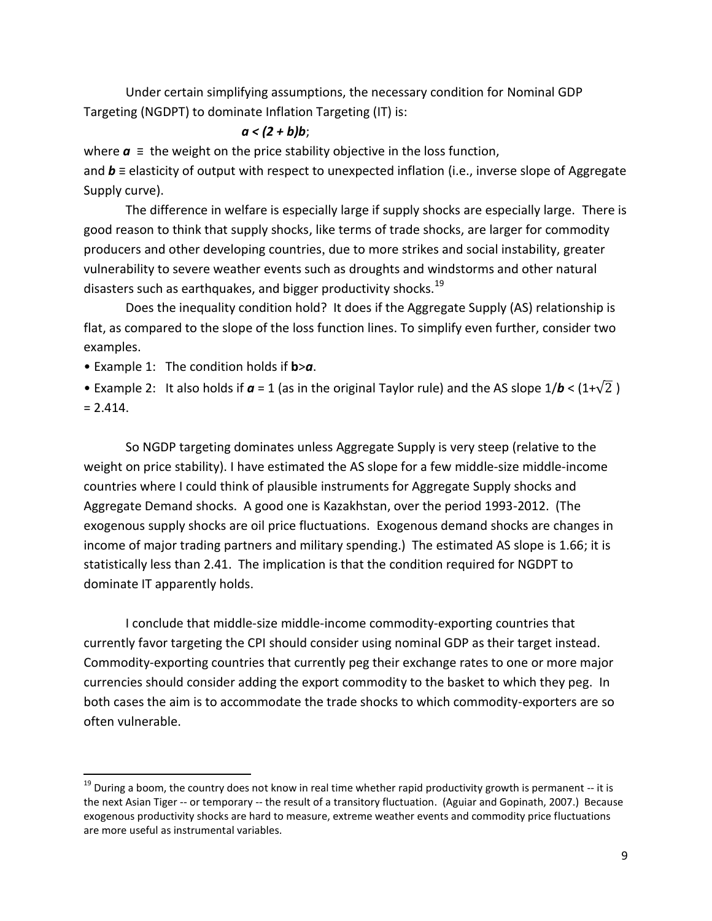Under certain simplifying assumptions, the necessary condition for Nominal GDP Targeting (NGDPT) to dominate Inflation Targeting (IT) is:

### *a < (2 + b)b*;

where  $a \equiv$  the weight on the price stability objective in the loss function,

and *b* ≡ elasticity of output with respect to unexpected inflation (i.e., inverse slope of Aggregate Supply curve).

The difference in welfare is especially large if supply shocks are especially large. There is good reason to think that supply shocks, like terms of trade shocks, are larger for commodity producers and other developing countries, due to more strikes and social instability, greater vulnerability to severe weather events such as droughts and windstorms and other natural disasters such as earthquakes, and bigger productivity shocks.<sup>19</sup>

Does the inequality condition hold? It does if the Aggregate Supply (AS) relationship is flat, as compared to the slope of the loss function lines. To simplify even further, consider two examples.

• Example 1: The condition holds if **b**>*a*.

 $\overline{a}$ 

• Example 2: It also holds if  $a = 1$  (as in the original Taylor rule) and the AS slope  $1/b < (1+\sqrt{2})$  $= 2.414.$ 

So NGDP targeting dominates unless Aggregate Supply is very steep (relative to the weight on price stability). I have estimated the AS slope for a few middle-size middle-income countries where I could think of plausible instruments for Aggregate Supply shocks and Aggregate Demand shocks. A good one is Kazakhstan, over the period 1993-2012. (The exogenous supply shocks are oil price fluctuations. Exogenous demand shocks are changes in income of major trading partners and military spending.) The estimated AS slope is 1.66; it is statistically less than 2.41. The implication is that the condition required for NGDPT to dominate IT apparently holds.

I conclude that middle-size middle-income commodity-exporting countries that currently favor targeting the CPI should consider using nominal GDP as their target instead. Commodity-exporting countries that currently peg their exchange rates to one or more major currencies should consider adding the export commodity to the basket to which they peg. In both cases the aim is to accommodate the trade shocks to which commodity-exporters are so often vulnerable.

<sup>&</sup>lt;sup>19</sup> During a boom, the country does not know in real time whether rapid productivity growth is permanent -- it is the next Asian Tiger -- or temporary -- the result of a transitory fluctuation. (Aguiar and Gopinath, 2007.) Because exogenous productivity shocks are hard to measure, extreme weather events and commodity price fluctuations are more useful as instrumental variables.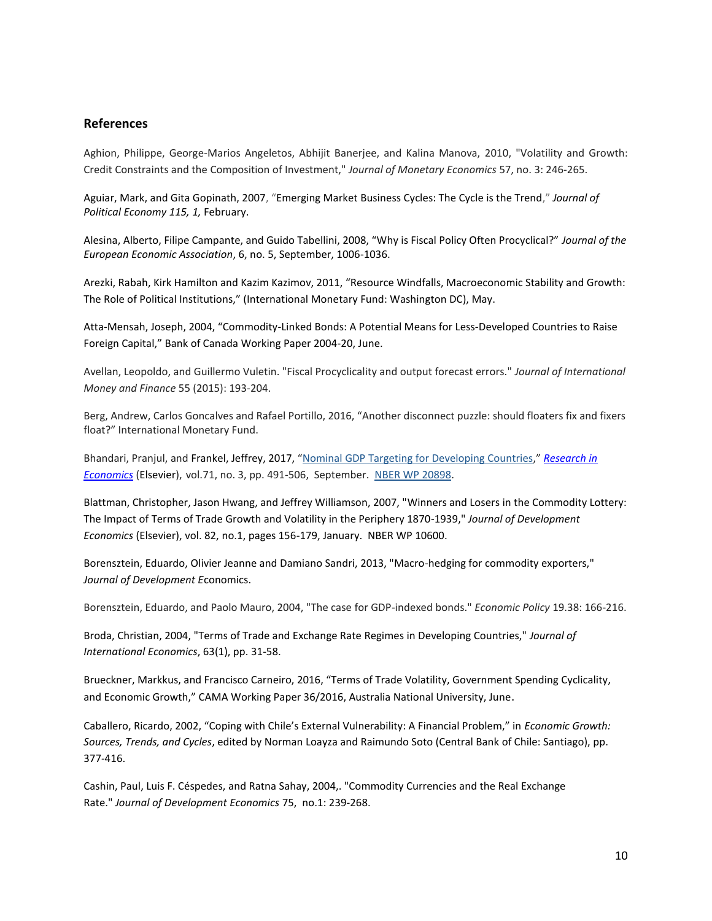### **References**

Aghion, Philippe, George-Marios Angeletos, Abhijit Banerjee, and Kalina Manova, 2010, "Volatility and Growth: Credit Constraints and the Composition of Investment," *Journal of Monetary Economics* 57, no. 3: 246-265.

Aguiar, Mark, and Gita Gopinath, 2007, "Emerging Market Business Cycles: The Cycle is the Trend," *Journal of Political Economy 115, 1,* February.

Alesina, Alberto, Filipe Campante, and Guido Tabellini, 2008, "Why is Fiscal Policy Often Procyclical?" *Journal of the European Economic Association*, 6, no. 5, September, 1006-1036.

Arezki, Rabah, Kirk Hamilton and Kazim Kazimov, 2011, "Resource Windfalls, Macroeconomic Stability and Growth: The Role of Political Institutions," (International Monetary Fund: Washington DC), May.

Atta-Mensah, Joseph, 2004, "Commodity-Linked Bonds: A Potential Means for Less-Developed Countries to Raise Foreign Capital," Bank of Canada Working Paper 2004-20, June.

Avellan, Leopoldo, and Guillermo Vuletin. "Fiscal Procyclicality and output forecast errors." *Journal of International Money and Finance* 55 (2015): 193-204.

Berg, Andrew, Carlos Goncalves and Rafael Portillo, 2016, "Another disconnect puzzle: should floaters fix and fixers float?" International Monetary Fund.

Bhandari, Pranjul, and Frankel, Jeffrey, 2017, "[Nominal GDP Targeting for Developing Countries](https://scholar.harvard.edu/files/frankel/files/ngdpt-_india_researchinecon.pdf)," *[Research in](http://www.sciencedirect.com/science/article/pii/S109094431730162)  [Economics](http://www.sciencedirect.com/science/article/pii/S109094431730162)* (Elsevier), vol.71, no. 3, pp. 491-506, September. [NBER WP 20898.](http://www.nber.org/papers/w20898)

Blattman, Christopher, Jason Hwang, and Jeffrey Williamson, 2007, "Winners and Losers in the Commodity Lottery: The Impact of Terms of Trade Growth and Volatility in the Periphery 1870-1939," *Journal of Development Economics* (Elsevier), vol. 82, no.1, pages 156-179, January. NBER WP 10600.

Borensztein, Eduardo, Olivier Jeanne and Damiano Sandri, 2013, "Macro-hedging for commodity exporters," *Journal of Development E*conomics.

Borensztein, Eduardo, and Paolo Mauro, 2004, "The case for GDP‐indexed bonds." *Economic Policy* 19.38: 166-216.

Broda, Christian, 2004, "Terms of Trade and Exchange Rate Regimes in Developing Countries," *Journal of International Economics*, 63(1), pp. 31-58.

Brueckner, Markkus, and Francisco Carneiro, 2016, "Terms of Trade Volatility, Government Spending Cyclicality, and Economic Growth," CAMA Working Paper 36/2016, Australia National University, June.

Caballero, Ricardo, 2002, "Coping with Chile's External Vulnerability: A Financial Problem," in *Economic Growth: Sources, Trends, and Cycles*, edited by Norman Loayza and Raimundo Soto (Central Bank of Chile: Santiago), pp. 377-416.

Cashin, Paul, Luis F. Céspedes, and Ratna Sahay, 2004,. "Commodity Currencies and the Real Exchange Rate." *Journal of Development Economics* 75, no.1: 239-268.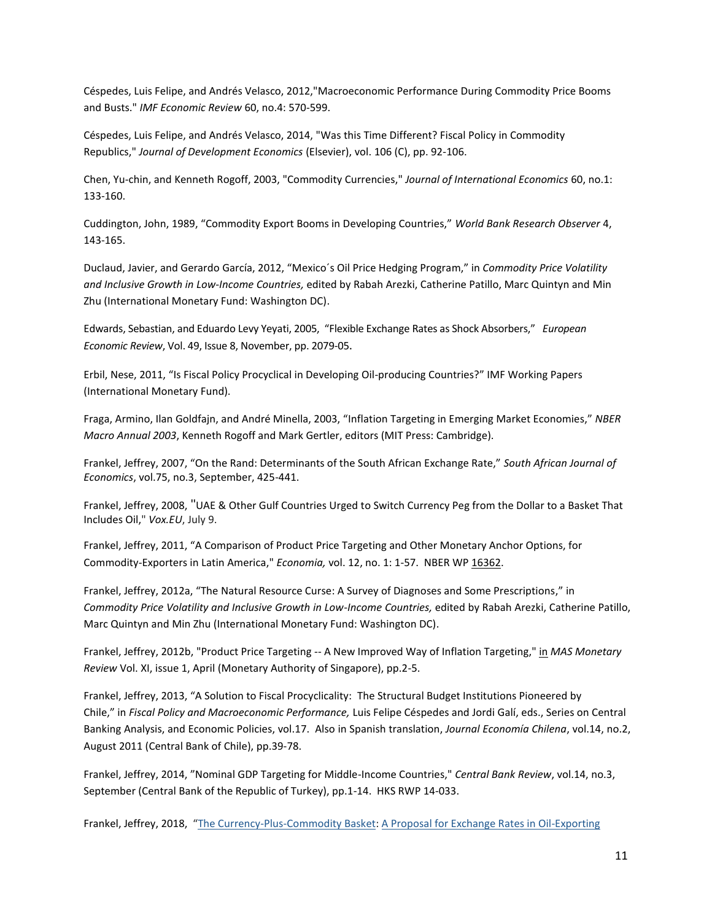Céspedes, Luis Felipe, and Andrés Velasco, 2012,"Macroeconomic Performance During Commodity Price Booms and Busts." *IMF Economic Review* 60, no.4: 570-599.

Céspedes, Luis Felipe, and Andrés Velasco, 2014, "Was this Time Different? Fiscal Policy in Commodity Republics," *Journal of Development Economics* (Elsevier), vol. 106 (C), pp. 92-106.

Chen, Yu-chin, and Kenneth Rogoff, 2003, "Commodity Currencies," *Journal of International Economics* 60, no.1: 133-160.

Cuddington, John, 1989, "Commodity Export Booms in Developing Countries," *World Bank Research Observer* 4, 143-165.

Duclaud, Javier, and Gerardo García, 2012, "Mexico´s Oil Price Hedging Program," in *Commodity Price Volatility and Inclusive Growth in Low-Income Countries,* edited by Rabah Arezki, Catherine Patillo, Marc Quintyn and Min Zhu (International Monetary Fund: Washington DC).

Edwards, Sebastian, and Eduardo Levy Yeyati, 2005, "Flexible Exchange Rates as Shock Absorbers," *European Economic Review*, Vol. 49, Issue 8, November, pp. 2079-05.

Erbil, Nese, 2011, "Is Fiscal Policy Procyclical in Developing Oil-producing Countries?" IMF Working Papers (International Monetary Fund).

Fraga, Armino, Ilan Goldfajn, and André Minella, 2003, "Inflation Targeting in Emerging Market Economies," *NBER Macro Annual 2003*, Kenneth Rogoff and Mark Gertler, editors (MIT Press: Cambridge).

Frankel, Jeffrey, 2007, "On the Rand: Determinants of the South African Exchange Rate," *South African Journal of Economics*, vol.75, no.3, September, 425-441.

Frankel, Jeffrey, 2008, "UAE & Other Gulf Countries Urged to Switch Currency Peg from the Dollar to a Basket That Includes Oil," *Vox.EU*, July 9.

Frankel, Jeffrey, 2011, "A Comparison of Product Price Targeting and Other Monetary Anchor Options, for Commodity-Exporters in Latin America," *Economia,* vol. 12, no. 1: 1-57. NBER WP [16362.](http://www.hks.harvard.edu/fs/jfrankel/LAC-PPTw16362.pdf)

Frankel, Jeffrey, 2012a, "The Natural Resource Curse: A Survey of Diagnoses and Some Prescriptions," in *Commodity Price Volatility and Inclusive Growth in Low-Income Countries,* edited by Rabah Arezki, Catherine Patillo, Marc Quintyn and Min Zhu (International Monetary Fund: Washington DC).

Frankel, Jeffrey, 2012b, "Product Price Targeting -- A New Improved Way of Inflation Targeting," [in](http://www.hks.harvard.edu/fs/jfrankel/MAS-PPT-SpecialFeatureApril2012.doc) *MAS Monetary Review* Vol. XI, issue 1, April (Monetary Authority of Singapore), pp.2-5.

Frankel, Jeffrey, 2013, "A Solution to Fiscal Procyclicality: The Structural Budget Institutions Pioneered by Chile," in *Fiscal Policy and Macroeconomic Performance,* Luis Felipe Céspedes and Jordi Galí, eds., Series on Central Banking Analysis, and Economic Policies, vol.17. Also in Spanish translation[,](http://ideas.repec.org/s/chb/bcchec.html) *Journal Economía Chilena*, vol.14, no.2, August 2011 (Central Bank of Chile), pp.39-78.

Frankel, Jeffrey, 2014, "Nominal GDP Targeting for Middle-Income Countries," *Central Bank Review*, vol.14, no.3, September (Central Bank of the Republic of Turkey), pp.1-14. HKS RWP 14-033.

Frankel, Jeffrey, 2018, "[The Currency-Plus-Commodity Basket:](http://scholar.harvard.edu/files/frankel/files/ccb_erf_2017march.pdf) A Proposal for Exchange Rates in Oil-Exporting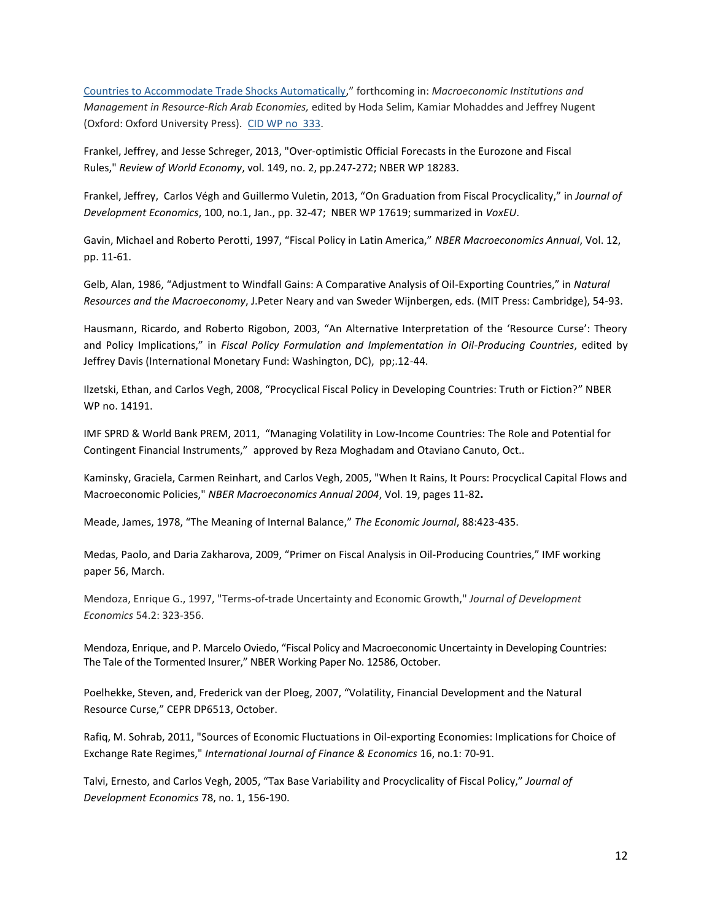[Countries to Accommodate Trade Shocks Automatically,](http://scholar.harvard.edu/frankel/publications/%E2%80%9C-currency-plus-commodity-basket-exchange-rate-proposal-make-monetary-policy)" forthcoming in: *Macroeconomic Institutions and Management in Resource-Rich Arab Economies,* edited by Hoda Selim, Kamiar Mohaddes and Jeffrey Nugent (Oxford: Oxford University Press). [CID WP no](https://www.hks.harvard.edu/centers/cid/publications/faculty-working-papers/currency-plus-commodity-basket) 333.

Frankel, Jeffrey, and Jesse Schreger, 2013, "Over-optimistic Official Forecasts in the Eurozone and Fiscal Rules," *Review of World Economy*, vol. 149, no. 2, pp.247-272; NBER WP 18283.

Frankel, Jeffrey, Carlos Végh and Guillermo Vuletin, 2013, "On Graduation from Fiscal Procyclicality," in *Journal of Development Economics*, 100, no.1, Jan., pp. 32-47; NBER WP 17619; summarized in *VoxEU*.

Gavin, Michael and Roberto Perotti, 1997, "Fiscal Policy in Latin America," *NBER Macroeconomics Annual*, Vol. 12, pp. 11-61.

Gelb, Alan, 1986, "Adjustment to Windfall Gains: A Comparative Analysis of Oil-Exporting Countries," in *Natural Resources and the Macroeconomy*, J.Peter Neary and van Sweder Wijnbergen, eds. (MIT Press: Cambridge), 54-93.

Hausmann, Ricardo, and Roberto Rigobon, 2003, "An Alternative Interpretation of the 'Resource Curse': Theory and Policy Implications," in *Fiscal Policy Formulation and Implementation in Oil-Producing Countries*, edited by Jeffrey Davis (International Monetary Fund: Washington, DC), pp;.12-44.

Ilzetski, Ethan, and Carlos Vegh, 2008, "Procyclical Fiscal Policy in Developing Countries: Truth or Fiction?" NBER WP no. 14191.

IMF SPRD & World Bank PREM, 2011, "Managing Volatility in Low-Income Countries: The Role and Potential for Contingent Financial Instruments," approved by Reza Moghadam and Otaviano Canuto, Oct..

Kaminsky, Graciela, Carmen Reinhart, and Carlos Vegh, 2005, "When It Rains, It Pours: Procyclical Capital Flows and Macroeconomic Policies," *NBER Macroeconomics Annual 2004*, Vol. 19, pages 11-82**.**

Meade, James, 1978, "[The Meaning of Internal Balance](http://www.jstor.org/discover/10.2307/2232044?uid=3739696&uid=2&uid=4&uid=3739256&sid=56254676533)," *The Economic Journal*, 88:423-435.

Medas, Paolo, and Daria Zakharova, 2009, "Primer on Fiscal Analysis in Oil-Producing Countries," IMF working paper 56, March.

Mendoza, Enrique G., 1997, "Terms-of-trade Uncertainty and Economic Growth," *Journal of Development Economics* 54.2: 323-356.

Mendoza, Enrique, and P. Marcelo Oviedo, "Fiscal Policy and Macroeconomic Uncertainty in Developing Countries: The Tale of the Tormented Insurer," NBER Working Paper No. 12586, October.

Poelhekke, Steven, and, Frederick van der Ploeg, 2007, "Volatility, Financial Development and the Natural Resource Curse," CEPR DP6513, October.

Rafiq, M. Sohrab, 2011, "Sources of Economic Fluctuations in Oil‐exporting Economies: Implications for Choice of Exchange Rate Regimes," *International Journal of Finance & Economics* 16, no.1: 70-91.

Talvi, Ernesto, and Carlos Vegh, 2005, "Tax Base Variability and Procyclicality of Fiscal Policy," *Journal of Development Economics* 78, no. 1, 156-190.